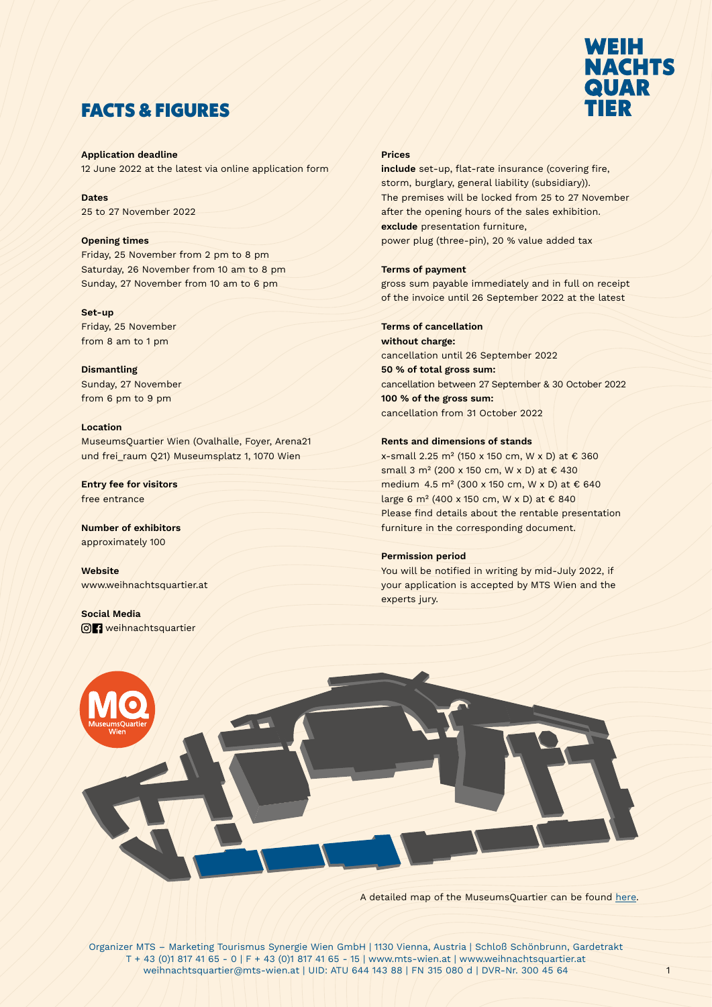

# FACTS & FIGURES

Application deadline 12 June 2022 at the latest via online application form

Dates 25 to 27 November 2022

## Opening times

Friday, 25 November from 2 pm to 8 pm Saturday, 26 November from 10 am to 8 pm Sunday, 27 November from 10 am to 6 pm

## Set-up

Friday, 25 November from 8 am to 1 pm

Dismantling Sunday, 27 November from 6 pm to 9 pm

## Location

MuseumsQuartier Wien (Ovalhalle, Foyer, Arena21 und frei\_raum Q21) Museumsplatz 1, 1070 Wien

Entry fee for visitors free entrance

Number of exhibitors approximately 100

**Website** www.weihnachtsquartier.at

Social Media **o** *A* weihnachtsquartier

## Prices

include set-up, flat-rate insurance (covering fire, storm, burglary, general liability (subsidiary)). The premises will be locked from 25 to 27 November after the opening hours of the sales exhibition. exclude presentation furniture, power plug (three-pin), 20 % value added tax

## Terms of payment

gross sum payable immediately and in full on receipt of the invoice until 26 September 2022 at the latest

## Terms of cancellation

without charge: cancellation until 26 September 2022 50 % of total gross sum: cancellation between 27 September & 30 October 2022 100 % of the gross sum: cancellation from 31 October 2022

## Rents and dimensions of stands

x-small 2.25 m² (150 x 150 cm, W x D) at € 360 small 3 m² (200 x 150 cm, W x D) at € 430 medium 4.5 m² (300 x 150 cm, W x D) at € 640 large 6 m² (400 x 150 cm, W x D) at € 840 Please find details about the rentable presentation furniture in the corresponding document.

## Permission period

You will be notified in writing by mid-July 2022, if your application is accepted by MTS Wien and the experts jury.



A detailed map of the MuseumsQuartier can be found [here](http://www.mqw.at/mq-map).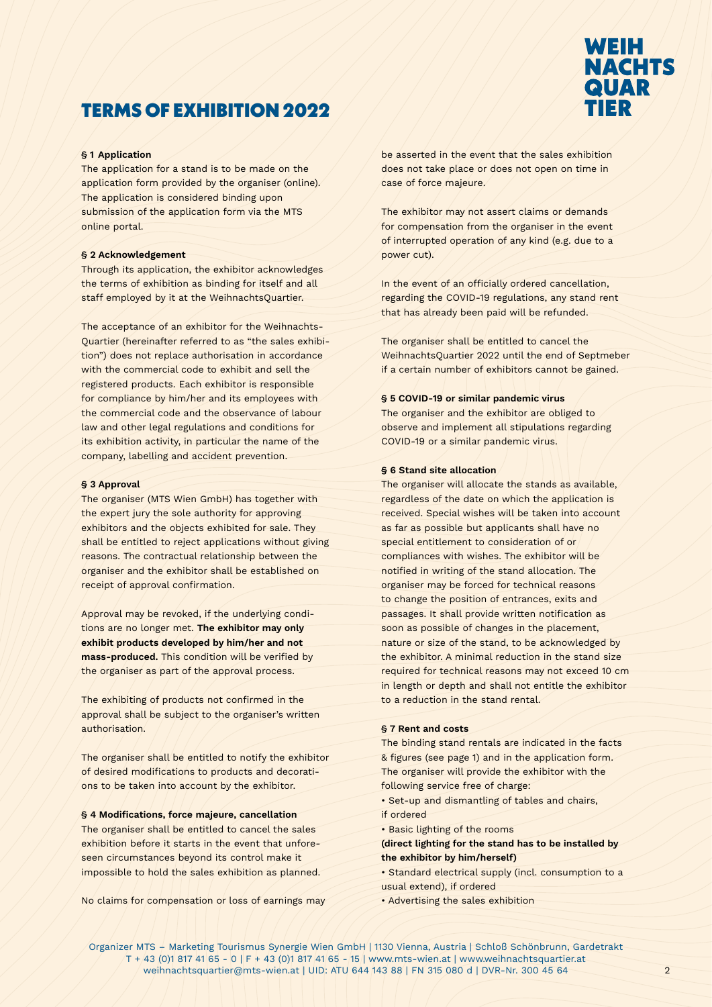# WEIH **NACHTS QUAR** 'IED

# TERMS OF EXHIBITION 2022

## § 1 Application

The application for a stand is to be made on the application form provided by the organiser (online). The application is considered binding upon submission of the application form via the MTS online portal.

## § 2 Acknowledgement

Through its application, the exhibitor acknowledges the terms of exhibition as binding for itself and all staff employed by it at the WeihnachtsQuartier.

The acceptance of an exhibitor for the Weihnachts-Quartier (hereinafter referred to as "the sales exhibition") does not replace authorisation in accordance with the commercial code to exhibit and sell the registered products. Each exhibitor is responsible for compliance by him/her and its employees with the commercial code and the observance of labour law and other legal regulations and conditions for its exhibition activity, in particular the name of the company, labelling and accident prevention.

## § 3 Approval

The organiser (MTS Wien GmbH) has together with the expert jury the sole authority for approving exhibitors and the objects exhibited for sale. They shall be entitled to reject applications without giving reasons. The contractual relationship between the organiser and the exhibitor shall be established on receipt of approval confirmation.

Approval may be revoked, if the underlying conditions are no longer met. The exhibitor may only exhibit products developed by him/her and not mass-produced. This condition will be verified by the organiser as part of the approval process.

The exhibiting of products not confirmed in the approval shall be subject to the organiser's written authorisation.

The organiser shall be entitled to notify the exhibitor of desired modifications to products and decorations to be taken into account by the exhibitor.

#### § 4 Modifications, force majeure, cancellation

The organiser shall be entitled to cancel the sales exhibition before it starts in the event that unforeseen circumstances beyond its control make it impossible to hold the sales exhibition as planned.

No claims for compensation or loss of earnings may

be asserted in the event that the sales exhibition does not take place or does not open on time in case of force majeure.

The exhibitor may not assert claims or demands for compensation from the organiser in the event of interrupted operation of any kind (e.g. due to a power cut).

In the event of an officially ordered cancellation, regarding the COVID-19 regulations, any stand rent that has already been paid will be refunded.

The organiser shall be entitled to cancel the WeihnachtsQuartier 2022 until the end of Septmeber if a certain number of exhibitors cannot be gained.

## § 5 COVID-19 or similar pandemic virus

The organiser and the exhibitor are obliged to observe and implement all stipulations regarding COVID-19 or a similar pandemic virus.

## § 6 Stand site allocation

The organiser will allocate the stands as available, regardless of the date on which the application is received. Special wishes will be taken into account as far as possible but applicants shall have no special entitlement to consideration of or compliances with wishes. The exhibitor will be notified in writing of the stand allocation. The organiser may be forced for technical reasons to change the position of entrances, exits and passages. It shall provide written notification as soon as possible of changes in the placement, nature or size of the stand, to be acknowledged by the exhibitor. A minimal reduction in the stand size required for technical reasons may not exceed 10 cm in length or depth and shall not entitle the exhibitor to a reduction in the stand rental.

## § 7 Rent and costs

The binding stand rentals are indicated in the facts & figures (see page 1) and in the application form. The organiser will provide the exhibitor with the following service free of charge:

• Set-up and dismantling of tables and chairs, if ordered

• Basic lighting of the rooms

(direct lighting for the stand has to be installed by the exhibitor by him/herself)

• Standard electrical supply (incl. consumption to a usual extend), if ordered

• Advertising the sales exhibition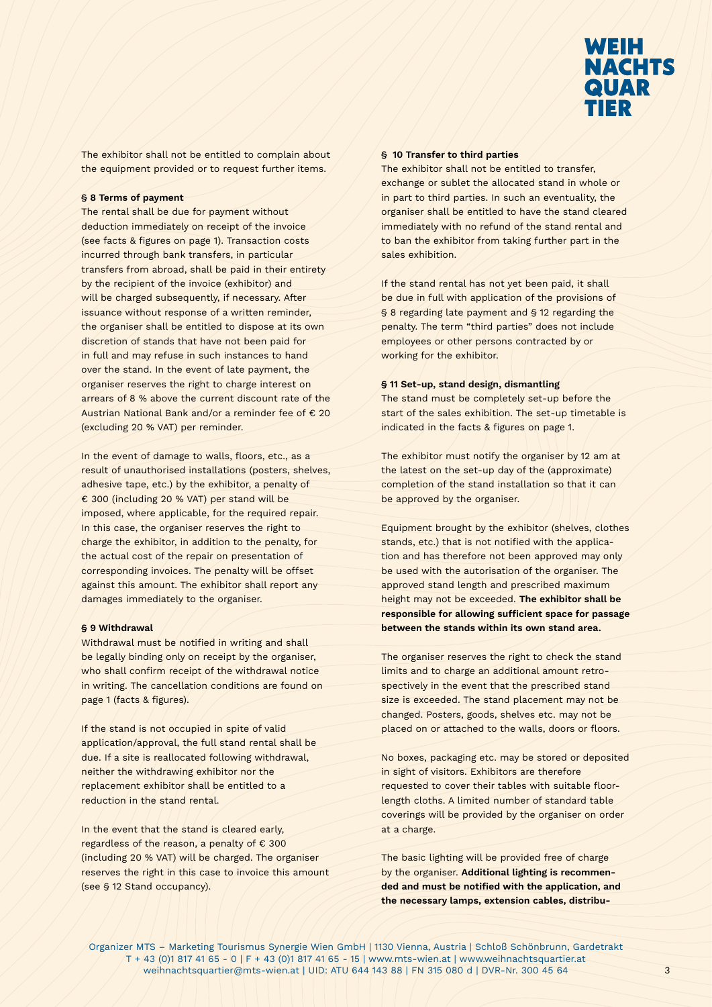

The exhibitor shall not be entitled to complain about the equipment provided or to request further items.

### § 8 Terms of payment

The rental shall be due for payment without deduction immediately on receipt of the invoice (see facts & figures on page 1). Transaction costs incurred through bank transfers, in particular transfers from abroad, shall be paid in their entirety by the recipient of the invoice (exhibitor) and will be charged subsequently, if necessary. After issuance without response of a written reminder, the organiser shall be entitled to dispose at its own discretion of stands that have not been paid for in full and may refuse in such instances to hand over the stand. In the event of late payment, the organiser reserves the right to charge interest on arrears of 8 % above the current discount rate of the Austrian National Bank and/or a reminder fee of € 20 (excluding 20 % VAT) per reminder.

In the event of damage to walls, floors, etc., as a result of unauthorised installations (posters, shelves, adhesive tape, etc.) by the exhibitor, a penalty of € 300 (including 20 % VAT) per stand will be imposed, where applicable, for the required repair. In this case, the organiser reserves the right to charge the exhibitor, in addition to the penalty, for the actual cost of the repair on presentation of corresponding invoices. The penalty will be offset against this amount. The exhibitor shall report any damages immediately to the organiser.

#### § 9 Withdrawal

Withdrawal must be notified in writing and shall be legally binding only on receipt by the organiser, who shall confirm receipt of the withdrawal notice in writing. The cancellation conditions are found on page 1 (facts & figures).

If the stand is not occupied in spite of valid application/approval, the full stand rental shall be due. If a site is reallocated following withdrawal, neither the withdrawing exhibitor nor the replacement exhibitor shall be entitled to a reduction in the stand rental.

In the event that the stand is cleared early, regardless of the reason, a penalty of € 300 (including 20 % VAT) will be charged. The organiser reserves the right in this case to invoice this amount (see § 12 Stand occupancy).

## § 10 Transfer to third parties

The exhibitor shall not be entitled to transfer, exchange or sublet the allocated stand in whole or in part to third parties. In such an eventuality, the organiser shall be entitled to have the stand cleared immediately with no refund of the stand rental and to ban the exhibitor from taking further part in the sales exhibition.

If the stand rental has not yet been paid, it shall be due in full with application of the provisions of § 8 regarding late payment and § 12 regarding the penalty. The term "third parties" does not include employees or other persons contracted by or working for the exhibitor.

## § 11 Set-up, stand design, dismantling

The stand must be completely set-up before the start of the sales exhibition. The set-up timetable is indicated in the facts & figures on page 1.

The exhibitor must notify the organiser by 12 am at the latest on the set-up day of the (approximate) completion of the stand installation so that it can be approved by the organiser.

Equipment brought by the exhibitor (shelves, clothes stands, etc.) that is not notified with the application and has therefore not been approved may only be used with the autorisation of the organiser. The approved stand length and prescribed maximum height may not be exceeded. The exhibitor shall be responsible for allowing sufficient space for passage between the stands within its own stand area.

The organiser reserves the right to check the stand limits and to charge an additional amount retrospectively in the event that the prescribed stand size is exceeded. The stand placement may not be changed. Posters, goods, shelves etc. may not be placed on or attached to the walls, doors or floors.

No boxes, packaging etc. may be stored or deposited in sight of visitors. Exhibitors are therefore requested to cover their tables with suitable floorlength cloths. A limited number of standard table coverings will be provided by the organiser on order at a charge.

The basic lighting will be provided free of charge by the organiser. Additional lighting is recommended and must be notified with the application, and the necessary lamps, extension cables, distribu-